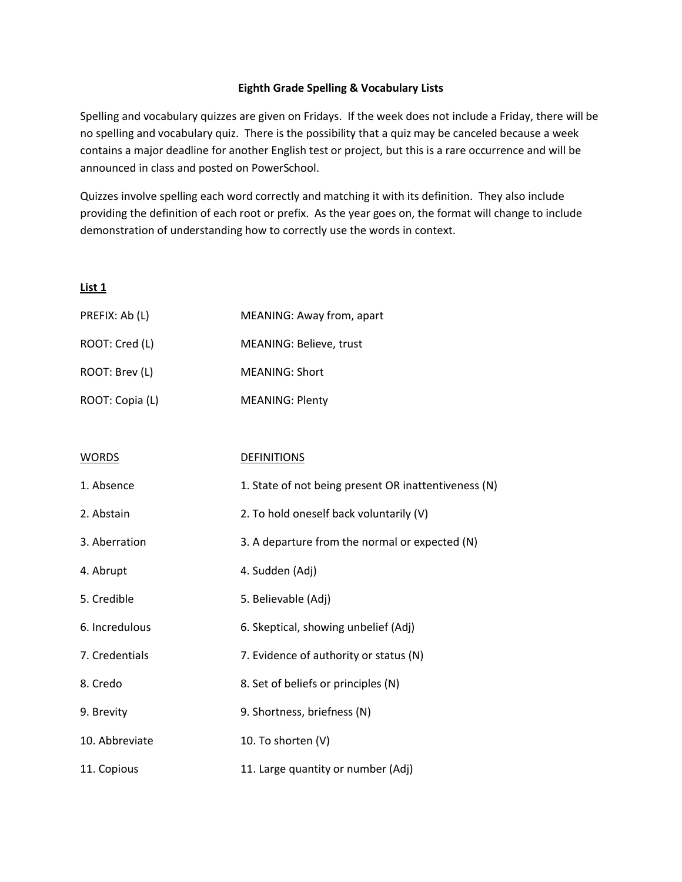#### **Eighth Grade Spelling & Vocabulary Lists**

Spelling and vocabulary quizzes are given on Fridays. If the week does not include a Friday, there will be no spelling and vocabulary quiz. There is the possibility that a quiz may be canceled because a week contains a major deadline for another English test or project, but this is a rare occurrence and will be announced in class and posted on PowerSchool.

Quizzes involve spelling each word correctly and matching it with its definition. They also include providing the definition of each root or prefix. As the year goes on, the format will change to include demonstration of understanding how to correctly use the words in context.

| PREFIX: Ab (L)  | MEANING: Away from, apart |
|-----------------|---------------------------|
| ROOT: Cred (L)  | MEANING: Believe, trust   |
| ROOT: Brev (L)  | MEANING: Short            |
| ROOT: Copia (L) | <b>MEANING: Plenty</b>    |

| <b>WORDS</b>   | <b>DEFINITIONS</b>                                   |
|----------------|------------------------------------------------------|
| 1. Absence     | 1. State of not being present OR inattentiveness (N) |
| 2. Abstain     | 2. To hold oneself back voluntarily (V)              |
| 3. Aberration  | 3. A departure from the normal or expected (N)       |
| 4. Abrupt      | 4. Sudden (Adj)                                      |
| 5. Credible    | 5. Believable (Adj)                                  |
| 6. Incredulous | 6. Skeptical, showing unbelief (Adj)                 |
| 7. Credentials | 7. Evidence of authority or status (N)               |
| 8. Credo       | 8. Set of beliefs or principles (N)                  |
| 9. Brevity     | 9. Shortness, briefness (N)                          |
| 10. Abbreviate | 10. To shorten (V)                                   |
| 11. Copious    | 11. Large quantity or number (Adj)                   |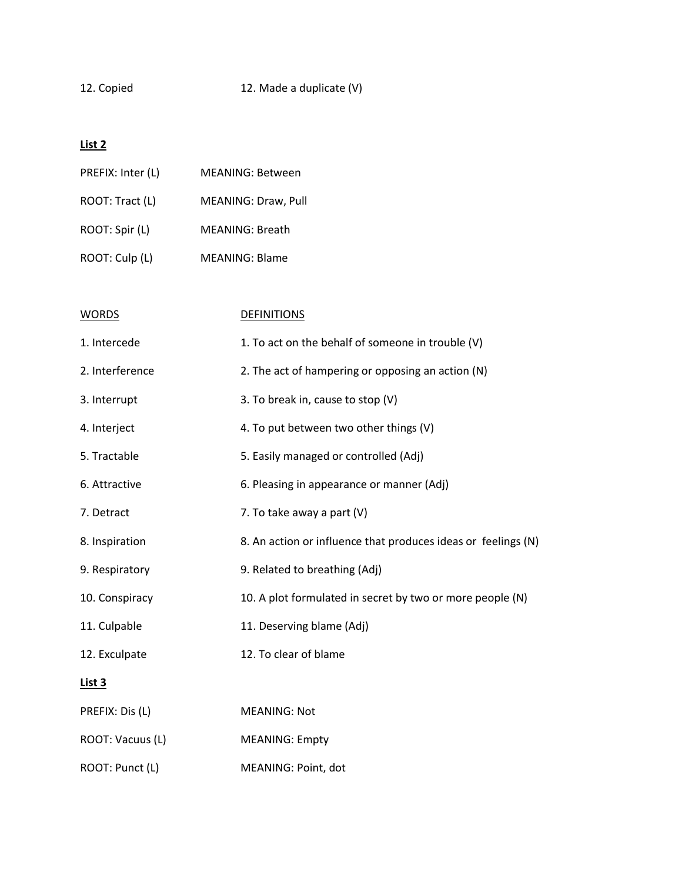12. Copied 12. Made a duplicate (V)

| PREFIX: Inter (L) | <b>MEANING: Between</b> |
|-------------------|-------------------------|
| ROOT: Tract (L)   | MEANING: Draw, Pull     |
| ROOT: Spir (L)    | <b>MEANING: Breath</b>  |
| ROOT: Culp (L)    | <b>MEANING: Blame</b>   |

| <b>WORDS</b>     | <b>DEFINITIONS</b>                                            |
|------------------|---------------------------------------------------------------|
| 1. Intercede     | 1. To act on the behalf of someone in trouble (V)             |
| 2. Interference  | 2. The act of hampering or opposing an action (N)             |
| 3. Interrupt     | 3. To break in, cause to stop (V)                             |
| 4. Interject     | 4. To put between two other things (V)                        |
| 5. Tractable     | 5. Easily managed or controlled (Adj)                         |
| 6. Attractive    | 6. Pleasing in appearance or manner (Adj)                     |
| 7. Detract       | 7. To take away a part $(V)$                                  |
| 8. Inspiration   | 8. An action or influence that produces ideas or feelings (N) |
| 9. Respiratory   | 9. Related to breathing (Adj)                                 |
| 10. Conspiracy   | 10. A plot formulated in secret by two or more people (N)     |
| 11. Culpable     | 11. Deserving blame (Adj)                                     |
| 12. Exculpate    | 12. To clear of blame                                         |
| List 3           |                                                               |
| PREFIX: Dis (L)  | <b>MEANING: Not</b>                                           |
| ROOT: Vacuus (L) | <b>MEANING: Empty</b>                                         |
| ROOT: Punct (L)  | MEANING: Point, dot                                           |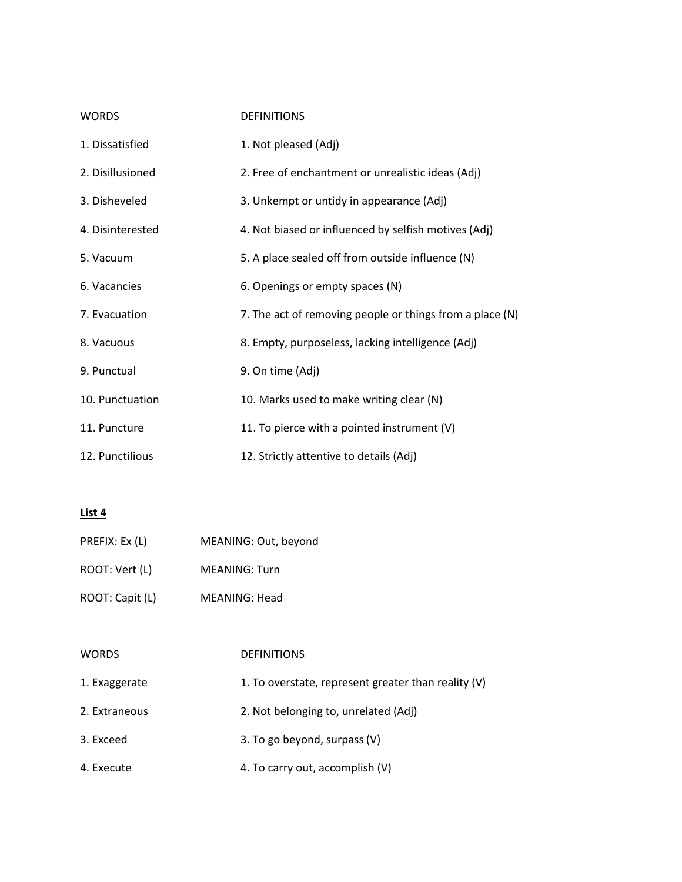| <b>WORDS</b>     | <b>DEFINITIONS</b>                                       |
|------------------|----------------------------------------------------------|
| 1. Dissatisfied  | 1. Not pleased (Adj)                                     |
| 2. Disillusioned | 2. Free of enchantment or unrealistic ideas (Adj)        |
| 3. Disheveled    | 3. Unkempt or untidy in appearance (Adj)                 |
| 4. Disinterested | 4. Not biased or influenced by selfish motives (Adj)     |
| 5. Vacuum        | 5. A place sealed off from outside influence (N)         |
| 6. Vacancies     | 6. Openings or empty spaces (N)                          |
| 7. Evacuation    | 7. The act of removing people or things from a place (N) |
| 8. Vacuous       | 8. Empty, purposeless, lacking intelligence (Adj)        |
| 9. Punctual      | 9. On time (Adj)                                         |
| 10. Punctuation  | 10. Marks used to make writing clear (N)                 |
| 11. Puncture     | 11. To pierce with a pointed instrument $(V)$            |
| 12. Punctilious  | 12. Strictly attentive to details (Adj)                  |

| PREFIX: Ex (L)  | MEANING: Out, beyond |
|-----------------|----------------------|
| ROOT: Vert (L)  | <b>MEANING: Turn</b> |
| ROOT: Capit (L) | <b>MEANING: Head</b> |

| <b>WORDS</b>  | <b>DEFINITIONS</b>                                  |
|---------------|-----------------------------------------------------|
| 1. Exaggerate | 1. To overstate, represent greater than reality (V) |
| 2. Extraneous | 2. Not belonging to, unrelated (Adj)                |
| 3. Exceed     | 3. To go beyond, surpass (V)                        |
| 4. Execute    | 4. To carry out, accomplish (V)                     |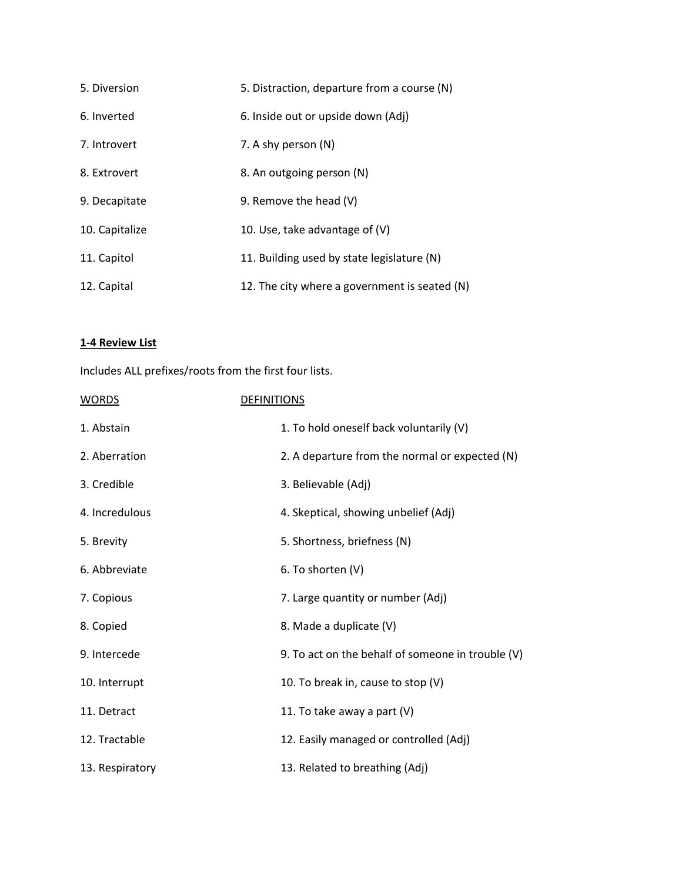| 5. Diversion   | 5. Distraction, departure from a course (N)   |
|----------------|-----------------------------------------------|
| 6. Inverted    | 6. Inside out or upside down (Adj)            |
| 7. Introvert   | 7. A shy person (N)                           |
| 8. Extrovert   | 8. An outgoing person (N)                     |
| 9. Decapitate  | 9. Remove the head (V)                        |
| 10. Capitalize | 10. Use, take advantage of (V)                |
| 11. Capitol    | 11. Building used by state legislature (N)    |
| 12. Capital    | 12. The city where a government is seated (N) |

## **1-4 Review List**

Includes ALL prefixes/roots from the first four lists.

| <b>WORDS</b>    | <b>DEFINITIONS</b>                                  |
|-----------------|-----------------------------------------------------|
| 1. Abstain      | 1. To hold oneself back voluntarily (V)             |
| 2. Aberration   | 2. A departure from the normal or expected (N)      |
| 3. Credible     | 3. Believable (Adj)                                 |
| 4. Incredulous  | 4. Skeptical, showing unbelief (Adj)                |
| 5. Brevity      | 5. Shortness, briefness (N)                         |
| 6. Abbreviate   | 6. To shorten (V)                                   |
| 7. Copious      | 7. Large quantity or number (Adj)                   |
| 8. Copied       | 8. Made a duplicate (V)                             |
| 9. Intercede    | 9. To act on the behalf of someone in trouble $(V)$ |
| 10. Interrupt   | 10. To break in, cause to stop (V)                  |
| 11. Detract     | 11. To take away a part (V)                         |
| 12. Tractable   | 12. Easily managed or controlled (Adj)              |
| 13. Respiratory | 13. Related to breathing (Adj)                      |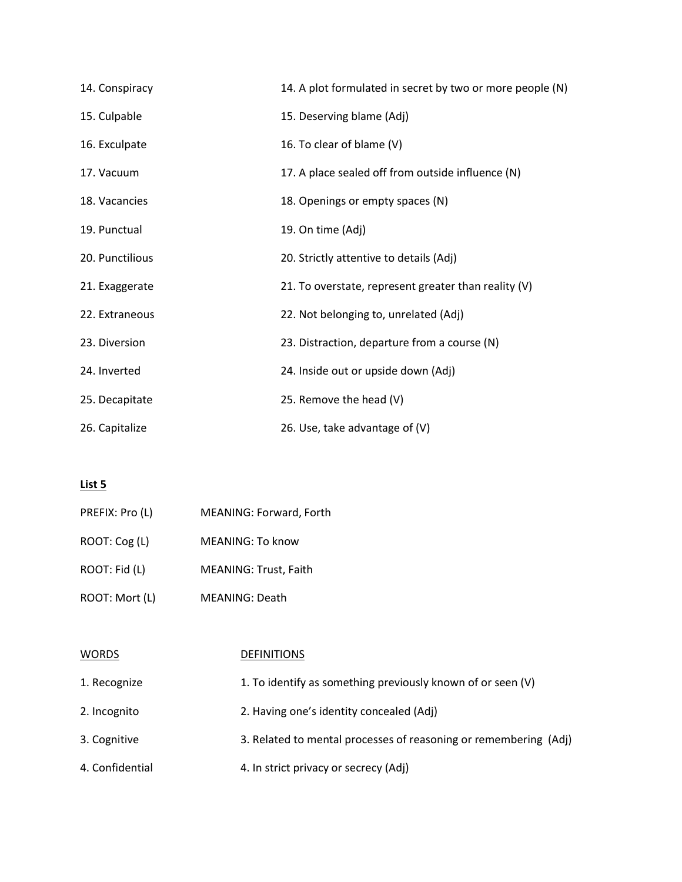| 14. Conspiracy  | 14. A plot formulated in secret by two or more people (N) |
|-----------------|-----------------------------------------------------------|
| 15. Culpable    | 15. Deserving blame (Adj)                                 |
| 16. Exculpate   | 16. To clear of blame (V)                                 |
| 17. Vacuum      | 17. A place sealed off from outside influence (N)         |
| 18. Vacancies   | 18. Openings or empty spaces (N)                          |
| 19. Punctual    | 19. On time (Adj)                                         |
| 20. Punctilious | 20. Strictly attentive to details (Adj)                   |
| 21. Exaggerate  | 21. To overstate, represent greater than reality (V)      |
| 22. Extraneous  | 22. Not belonging to, unrelated (Adj)                     |
| 23. Diversion   | 23. Distraction, departure from a course (N)              |
| 24. Inverted    | 24. Inside out or upside down (Adj)                       |
| 25. Decapitate  | 25. Remove the head (V)                                   |
| 26. Capitalize  | 26. Use, take advantage of (V)                            |

| PREFIX: Pro (L) | MEANING: Forward, Forth      |
|-----------------|------------------------------|
| ROOT: Cog (L)   | MEANING: To know             |
| ROOT: Fid (L)   | <b>MEANING: Trust, Faith</b> |
| ROOT: Mort (L)  | MEANING: Death               |

| <b>WORDS</b>    | <b>DEFINITIONS</b>                                               |
|-----------------|------------------------------------------------------------------|
| 1. Recognize    | 1. To identify as something previously known of or seen (V)      |
| 2. Incognito    | 2. Having one's identity concealed (Adj)                         |
| 3. Cognitive    | 3. Related to mental processes of reasoning or remembering (Adj) |
| 4. Confidential | 4. In strict privacy or secrecy (Adj)                            |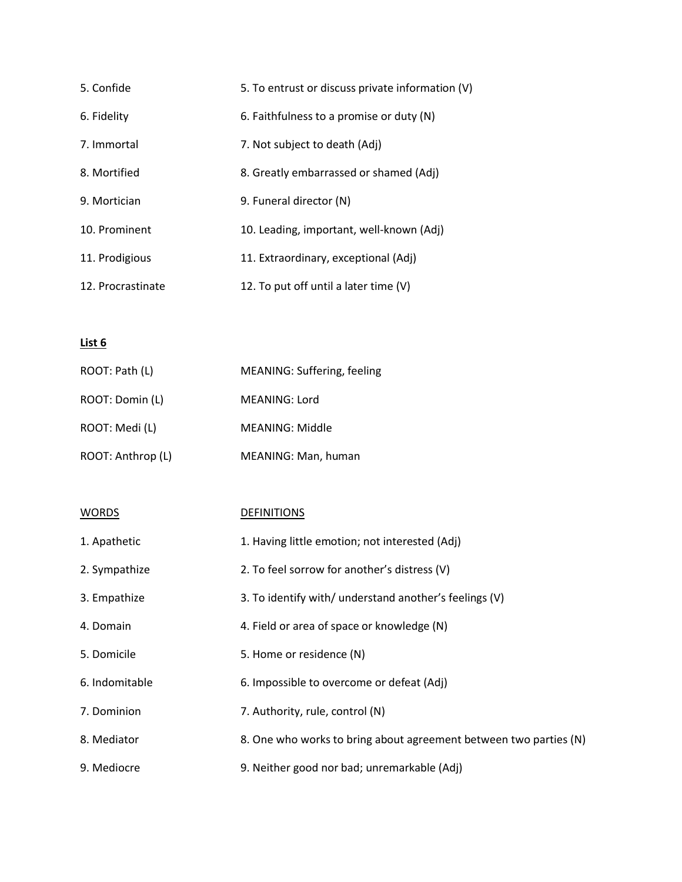| 5. Confide        | 5. To entrust or discuss private information (V) |
|-------------------|--------------------------------------------------|
| 6. Fidelity       | 6. Faithfulness to a promise or duty $(N)$       |
| 7. Immortal       | 7. Not subject to death (Adj)                    |
| 8. Mortified      | 8. Greatly embarrassed or shamed (Adj)           |
| 9. Mortician      | 9. Funeral director (N)                          |
| 10. Prominent     | 10. Leading, important, well-known (Adi)         |
| 11. Prodigious    | 11. Extraordinary, exceptional (Adj)             |
| 12. Procrastinate | 12. To put off until a later time (V)            |

| ROOT: Path (L)    | MEANING: Suffering, feeling |
|-------------------|-----------------------------|
| ROOT: Domin (L)   | MEANING: Lord               |
| ROOT: Medi (L)    | MEANING: Middle             |
| ROOT: Anthrop (L) | MEANING: Man, human         |

| <b>WORDS</b>   | <b>DEFINITIONS</b>                                                |
|----------------|-------------------------------------------------------------------|
| 1. Apathetic   | 1. Having little emotion; not interested (Adj)                    |
| 2. Sympathize  | 2. To feel sorrow for another's distress (V)                      |
| 3. Empathize   | 3. To identify with/ understand another's feelings (V)            |
| 4. Domain      | 4. Field or area of space or knowledge (N)                        |
| 5. Domicile    | 5. Home or residence (N)                                          |
| 6. Indomitable | 6. Impossible to overcome or defeat (Adj)                         |
| 7. Dominion    | 7. Authority, rule, control (N)                                   |
| 8. Mediator    | 8. One who works to bring about agreement between two parties (N) |
| 9. Mediocre    | 9. Neither good nor bad; unremarkable (Adj)                       |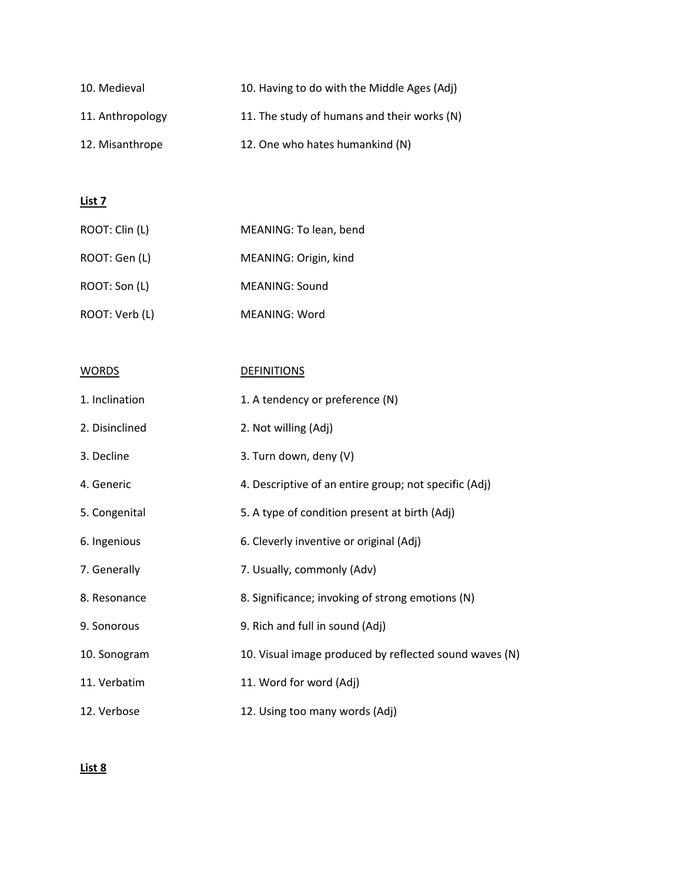| 10. Medieval     | 10. Having to do with the Middle Ages (Adj) |
|------------------|---------------------------------------------|
| 11. Anthropology | 11. The study of humans and their works (N) |
| 12. Misanthrope  | 12. One who hates humankind (N)             |

| ROOT: Clin (L) | MEANING: To lean, bend |
|----------------|------------------------|
| ROOT: Gen (L)  | MEANING: Origin, kind  |
| ROOT: Son (L)  | MEANING: Sound         |
| ROOT: Verb (L) | MEANING: Word          |

| <b>WORDS</b>   | <b>DEFINITIONS</b>                                     |
|----------------|--------------------------------------------------------|
| 1. Inclination | 1. A tendency or preference (N)                        |
| 2. Disinclined | 2. Not willing (Adj)                                   |
| 3. Decline     | 3. Turn down, deny (V)                                 |
| 4. Generic     | 4. Descriptive of an entire group; not specific (Adj)  |
| 5. Congenital  | 5. A type of condition present at birth (Adj)          |
| 6. Ingenious   | 6. Cleverly inventive or original (Adj)                |
| 7. Generally   | 7. Usually, commonly (Adv)                             |
| 8. Resonance   | 8. Significance; invoking of strong emotions (N)       |
| 9. Sonorous    | 9. Rich and full in sound (Adj)                        |
| 10. Sonogram   | 10. Visual image produced by reflected sound waves (N) |
| 11. Verbatim   | 11. Word for word (Adj)                                |
| 12. Verbose    | 12. Using too many words (Adj)                         |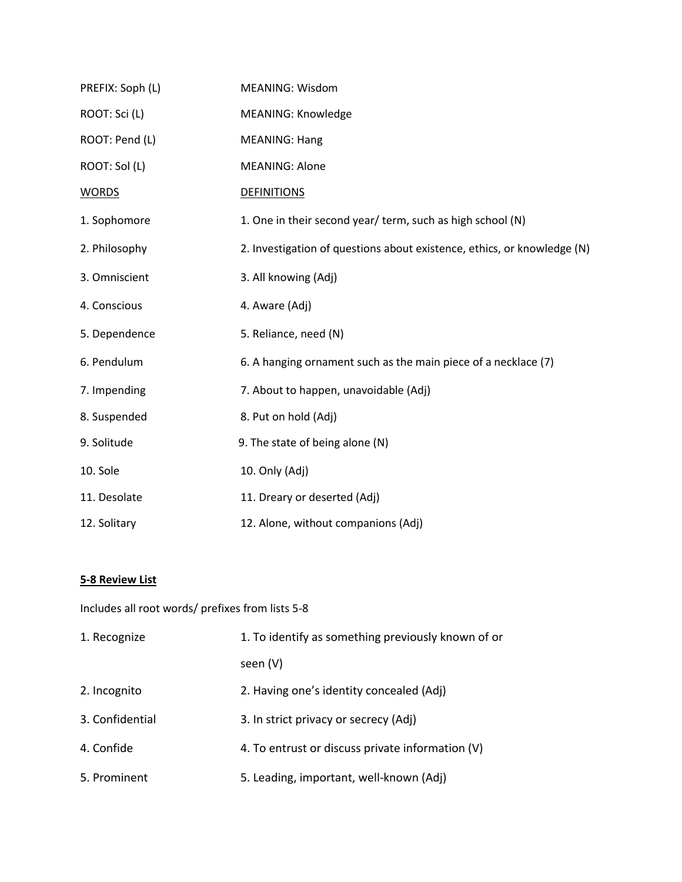| PREFIX: Soph (L) | <b>MEANING: Wisdom</b>                                                  |
|------------------|-------------------------------------------------------------------------|
| ROOT: Sci (L)    | <b>MEANING: Knowledge</b>                                               |
| ROOT: Pend (L)   | <b>MEANING: Hang</b>                                                    |
| ROOT: Sol (L)    | <b>MEANING: Alone</b>                                                   |
| <b>WORDS</b>     | <b>DEFINITIONS</b>                                                      |
| 1. Sophomore     | 1. One in their second year/ term, such as high school (N)              |
| 2. Philosophy    | 2. Investigation of questions about existence, ethics, or knowledge (N) |
| 3. Omniscient    | 3. All knowing (Adj)                                                    |
| 4. Conscious     | 4. Aware (Adj)                                                          |
| 5. Dependence    | 5. Reliance, need (N)                                                   |
| 6. Pendulum      | 6. A hanging ornament such as the main piece of a necklace (7)          |
| 7. Impending     | 7. About to happen, unavoidable (Adj)                                   |
| 8. Suspended     | 8. Put on hold (Adj)                                                    |
| 9. Solitude      | 9. The state of being alone (N)                                         |
| 10. Sole         | 10. Only (Adj)                                                          |
| 11. Desolate     | 11. Dreary or deserted (Adj)                                            |
| 12. Solitary     | 12. Alone, without companions (Adj)                                     |

## **5-8 Review List**

Includes all root words/ prefixes from lists 5-8

| 1. Recognize    | 1. To identify as something previously known of or |
|-----------------|----------------------------------------------------|
|                 | seen (V)                                           |
| 2. Incognito    | 2. Having one's identity concealed (Adj)           |
| 3. Confidential | 3. In strict privacy or secrecy (Adj)              |
| 4. Confide      | 4. To entrust or discuss private information (V)   |
| 5. Prominent    | 5. Leading, important, well-known (Adj)            |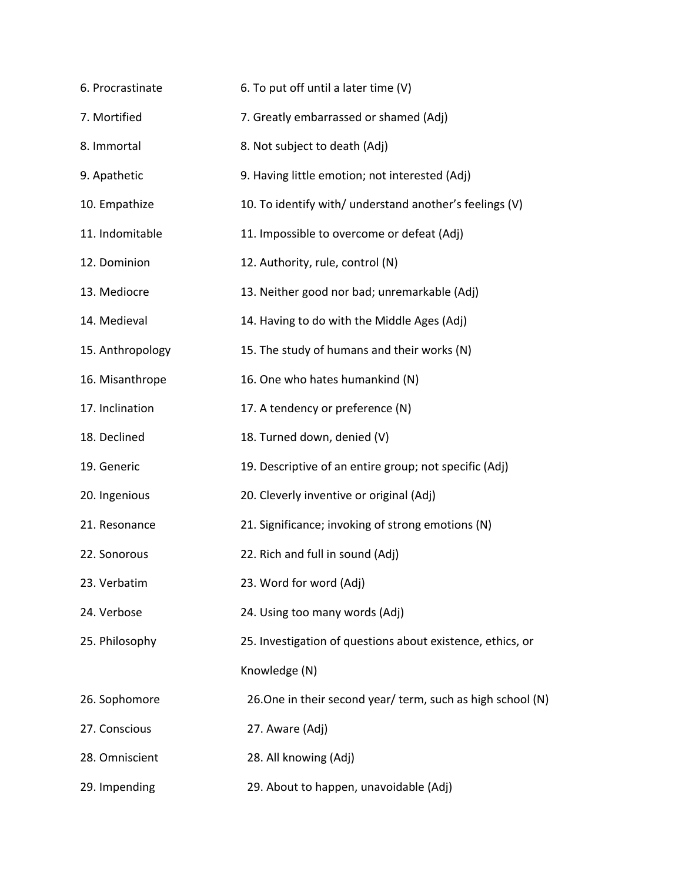| 6. Procrastinate | 6. To put off until a later time (V)                        |
|------------------|-------------------------------------------------------------|
| 7. Mortified     | 7. Greatly embarrassed or shamed (Adj)                      |
| 8. Immortal      | 8. Not subject to death (Adj)                               |
| 9. Apathetic     | 9. Having little emotion; not interested (Adj)              |
| 10. Empathize    | 10. To identify with/ understand another's feelings (V)     |
| 11. Indomitable  | 11. Impossible to overcome or defeat (Adj)                  |
| 12. Dominion     | 12. Authority, rule, control (N)                            |
| 13. Mediocre     | 13. Neither good nor bad; unremarkable (Adj)                |
| 14. Medieval     | 14. Having to do with the Middle Ages (Adj)                 |
| 15. Anthropology | 15. The study of humans and their works (N)                 |
| 16. Misanthrope  | 16. One who hates humankind (N)                             |
| 17. Inclination  | 17. A tendency or preference (N)                            |
| 18. Declined     | 18. Turned down, denied (V)                                 |
| 19. Generic      | 19. Descriptive of an entire group; not specific (Adj)      |
| 20. Ingenious    | 20. Cleverly inventive or original (Adj)                    |
| 21. Resonance    | 21. Significance; invoking of strong emotions (N)           |
| 22. Sonorous     | 22. Rich and full in sound (Adj)                            |
| 23. Verbatim     | 23. Word for word (Adj)                                     |
| 24. Verbose      | 24. Using too many words (Adj)                              |
| 25. Philosophy   | 25. Investigation of questions about existence, ethics, or  |
|                  | Knowledge (N)                                               |
| 26. Sophomore    | 26. One in their second year/ term, such as high school (N) |
| 27. Conscious    | 27. Aware (Adj)                                             |
| 28. Omniscient   | 28. All knowing (Adj)                                       |
| 29. Impending    | 29. About to happen, unavoidable (Adj)                      |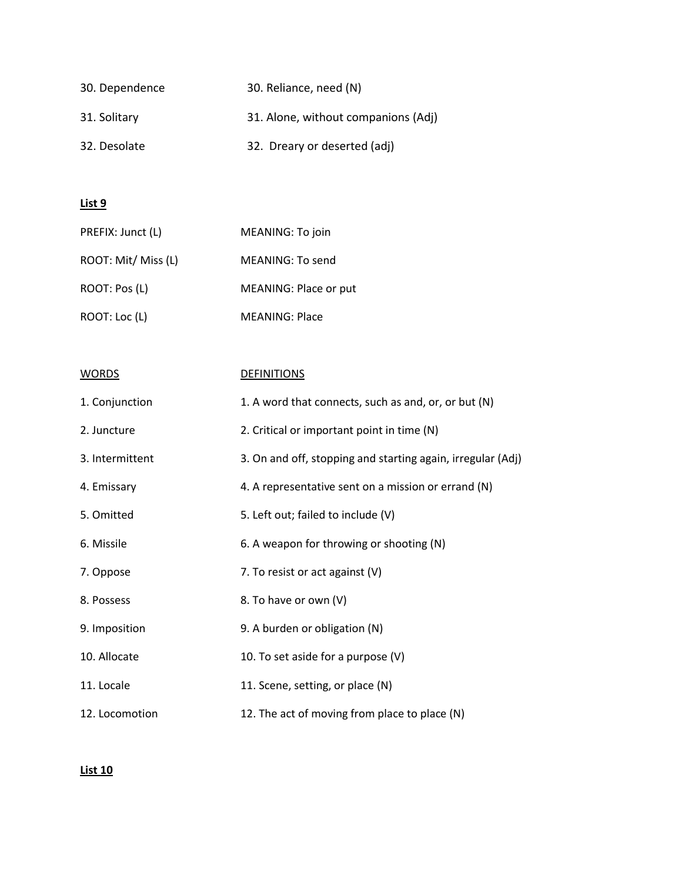| 30. Dependence | 30. Reliance, need (N)              |
|----------------|-------------------------------------|
| 31. Solitary   | 31. Alone, without companions (Adj) |
| 32. Desolate   | 32. Dreary or deserted (adj)        |

| PREFIX: Junct (L)   | MEANING: To join      |
|---------------------|-----------------------|
| ROOT: Mit/ Miss (L) | MEANING: To send      |
| ROOT: Pos (L)       | MEANING: Place or put |
| ROOT: Loc (L)       | <b>MEANING: Place</b> |

| <b>WORDS</b>    | <b>DEFINITIONS</b>                                          |
|-----------------|-------------------------------------------------------------|
| 1. Conjunction  | 1. A word that connects, such as and, or, or but (N)        |
| 2. Juncture     | 2. Critical or important point in time (N)                  |
| 3. Intermittent | 3. On and off, stopping and starting again, irregular (Adj) |
| 4. Emissary     | 4. A representative sent on a mission or errand (N)         |
| 5. Omitted      | 5. Left out; failed to include (V)                          |
| 6. Missile      | 6. A weapon for throwing or shooting (N)                    |
| 7. Oppose       | 7. To resist or act against (V)                             |
| 8. Possess      | 8. To have or own (V)                                       |
| 9. Imposition   | 9. A burden or obligation (N)                               |
| 10. Allocate    | 10. To set aside for a purpose (V)                          |
| 11. Locale      | 11. Scene, setting, or place (N)                            |
| 12. Locomotion  | 12. The act of moving from place to place (N)               |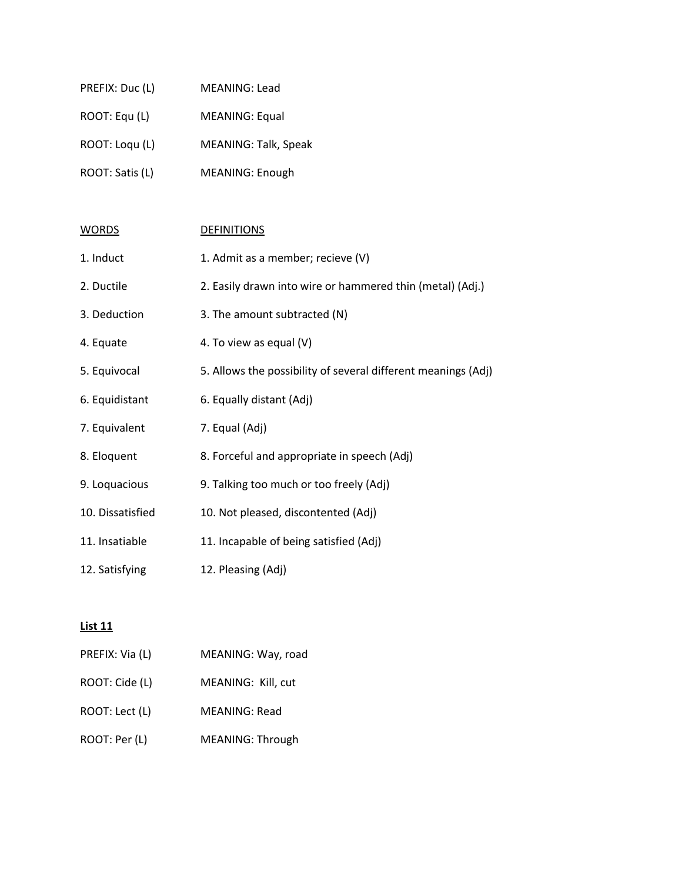| PREFIX: Duc (L) | <b>MEANING: Lead</b>  |
|-----------------|-----------------------|
| ROOT: Equ (L)   | <b>MEANING: Equal</b> |
| ROOT: Loqu (L)  | MEANING: Talk, Speak  |
| ROOT: Satis (L) | MEANING: Enough       |
|                 |                       |

| <b>WORDS</b>     | <b>DEFINITIONS</b>                                            |
|------------------|---------------------------------------------------------------|
| 1. Induct        | 1. Admit as a member; recieve (V)                             |
| 2. Ductile       | 2. Easily drawn into wire or hammered thin (metal) (Adj.)     |
| 3. Deduction     | 3. The amount subtracted (N)                                  |
| 4. Equate        | 4. To view as equal (V)                                       |
| 5. Equivocal     | 5. Allows the possibility of several different meanings (Adj) |
| 6. Equidistant   | 6. Equally distant (Adj)                                      |
| 7. Equivalent    | 7. Equal (Adj)                                                |
| 8. Eloquent      | 8. Forceful and appropriate in speech (Adj)                   |
| 9. Loquacious    | 9. Talking too much or too freely (Adj)                       |
| 10. Dissatisfied | 10. Not pleased, discontented (Adj)                           |
| 11. Insatiable   | 11. Incapable of being satisfied (Adj)                        |
| 12. Satisfying   | 12. Pleasing (Adj)                                            |

| PREFIX: Via (L) | MEANING: Way, road      |
|-----------------|-------------------------|
| ROOT: Cide (L)  | MEANING: Kill, cut      |
| ROOT: Lect (L)  | <b>MEANING: Read</b>    |
| ROOT: Per (L)   | <b>MEANING: Through</b> |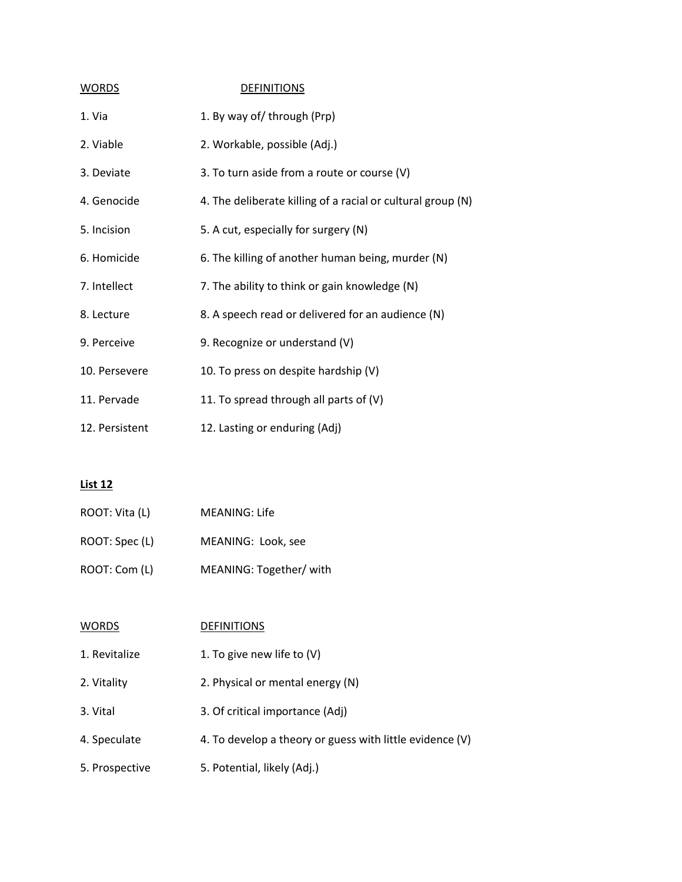| <b>WORDS</b>   | <b>DEFINITIONS</b>                                          |
|----------------|-------------------------------------------------------------|
| 1. Via         | 1. By way of/through (Prp)                                  |
| 2. Viable      | 2. Workable, possible (Adj.)                                |
| 3. Deviate     | 3. To turn aside from a route or course (V)                 |
| 4. Genocide    | 4. The deliberate killing of a racial or cultural group (N) |
| 5. Incision    | 5. A cut, especially for surgery (N)                        |
| 6. Homicide    | 6. The killing of another human being, murder (N)           |
| 7. Intellect   | 7. The ability to think or gain knowledge (N)               |
| 8. Lecture     | 8. A speech read or delivered for an audience (N)           |
| 9. Perceive    | 9. Recognize or understand (V)                              |
| 10. Persevere  | 10. To press on despite hardship (V)                        |
| 11. Pervade    | 11. To spread through all parts of (V)                      |
| 12. Persistent | 12. Lasting or enduring (Adj)                               |

| ROOT: Vita (L) | MEANING: Life           |
|----------------|-------------------------|
| ROOT: Spec (L) | MEANING: Look, see      |
| ROOT: Com (L)  | MEANING: Together/ with |

| <b>WORDS</b>   | <b>DEFINITIONS</b>                                       |
|----------------|----------------------------------------------------------|
| 1. Revitalize  | 1. To give new life to $(V)$                             |
| 2. Vitality    | 2. Physical or mental energy (N)                         |
| 3. Vital       | 3. Of critical importance (Adj)                          |
| 4. Speculate   | 4. To develop a theory or guess with little evidence (V) |
| 5. Prospective | 5. Potential, likely (Adj.)                              |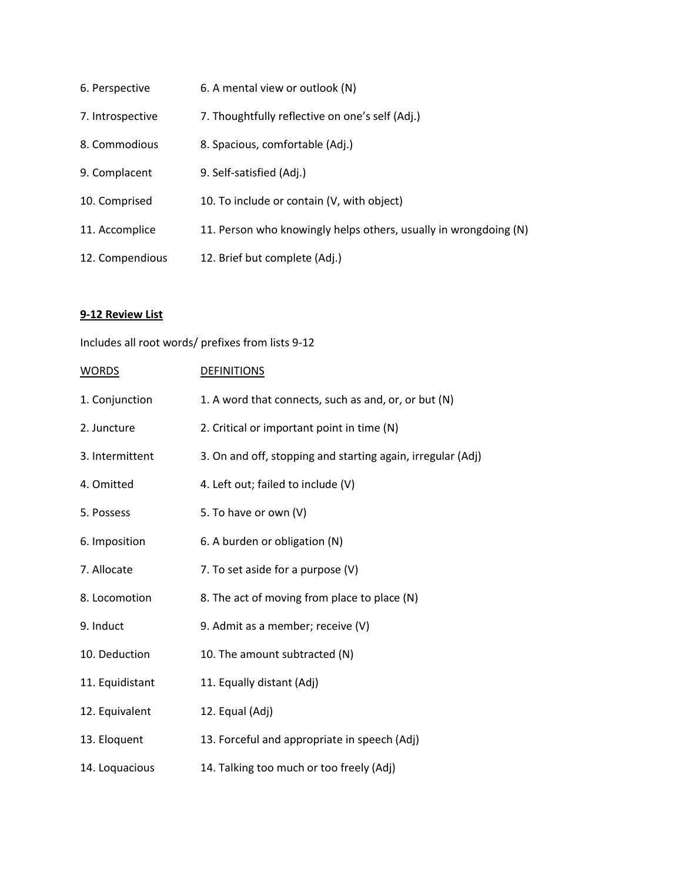| 6. Perspective   | 6. A mental view or outlook (N)                                  |
|------------------|------------------------------------------------------------------|
| 7. Introspective | 7. Thoughtfully reflective on one's self (Adj.)                  |
| 8. Commodious    | 8. Spacious, comfortable (Adj.)                                  |
| 9. Complacent    | 9. Self-satisfied (Adj.)                                         |
| 10. Comprised    | 10. To include or contain (V, with object)                       |
| 11. Accomplice   | 11. Person who knowingly helps others, usually in wrongdoing (N) |
| 12. Compendious  | 12. Brief but complete (Adj.)                                    |

# **9-12 Review List**

Includes all root words/ prefixes from lists 9-12

| <b>WORDS</b>    | <b>DEFINITIONS</b>                                          |
|-----------------|-------------------------------------------------------------|
| 1. Conjunction  | 1. A word that connects, such as and, or, or but (N)        |
| 2. Juncture     | 2. Critical or important point in time (N)                  |
| 3. Intermittent | 3. On and off, stopping and starting again, irregular (Adj) |
| 4. Omitted      | 4. Left out; failed to include (V)                          |
| 5. Possess      | 5. To have or own (V)                                       |
| 6. Imposition   | 6. A burden or obligation (N)                               |
| 7. Allocate     | 7. To set aside for a purpose (V)                           |
| 8. Locomotion   | 8. The act of moving from place to place (N)                |
| 9. Induct       | 9. Admit as a member; receive (V)                           |
| 10. Deduction   | 10. The amount subtracted (N)                               |
| 11. Equidistant | 11. Equally distant (Adj)                                   |
| 12. Equivalent  | 12. Equal (Adj)                                             |
| 13. Eloquent    | 13. Forceful and appropriate in speech (Adj)                |
| 14. Loquacious  | 14. Talking too much or too freely (Adj)                    |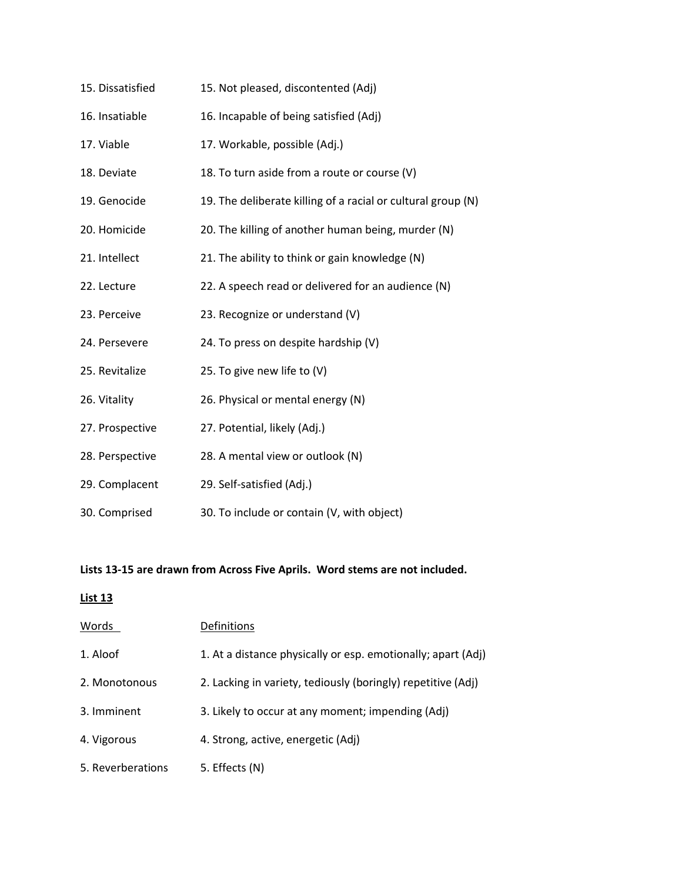| 15. Dissatisfied | 15. Not pleased, discontented (Adj)                          |
|------------------|--------------------------------------------------------------|
| 16. Insatiable   | 16. Incapable of being satisfied (Adj)                       |
| 17. Viable       | 17. Workable, possible (Adj.)                                |
| 18. Deviate      | 18. To turn aside from a route or course (V)                 |
| 19. Genocide     | 19. The deliberate killing of a racial or cultural group (N) |
| 20. Homicide     | 20. The killing of another human being, murder (N)           |
| 21. Intellect    | 21. The ability to think or gain knowledge (N)               |
| 22. Lecture      | 22. A speech read or delivered for an audience (N)           |
| 23. Perceive     | 23. Recognize or understand (V)                              |
| 24. Persevere    | 24. To press on despite hardship (V)                         |
| 25. Revitalize   | 25. To give new life to (V)                                  |
| 26. Vitality     | 26. Physical or mental energy (N)                            |
| 27. Prospective  | 27. Potential, likely (Adj.)                                 |
| 28. Perspective  | 28. A mental view or outlook (N)                             |
| 29. Complacent   | 29. Self-satisfied (Adj.)                                    |
| 30. Comprised    | 30. To include or contain (V, with object)                   |

#### **Lists 13-15 are drawn from Across Five Aprils. Word stems are not included.**

| Words             | Definitions                                                  |
|-------------------|--------------------------------------------------------------|
| 1. Aloof          | 1. At a distance physically or esp. emotionally; apart (Adj) |
| 2. Monotonous     | 2. Lacking in variety, tediously (boringly) repetitive (Adj) |
| 3. Imminent       | 3. Likely to occur at any moment; impending (Adj)            |
| 4. Vigorous       | 4. Strong, active, energetic (Adj)                           |
| 5. Reverberations | 5. Effects (N)                                               |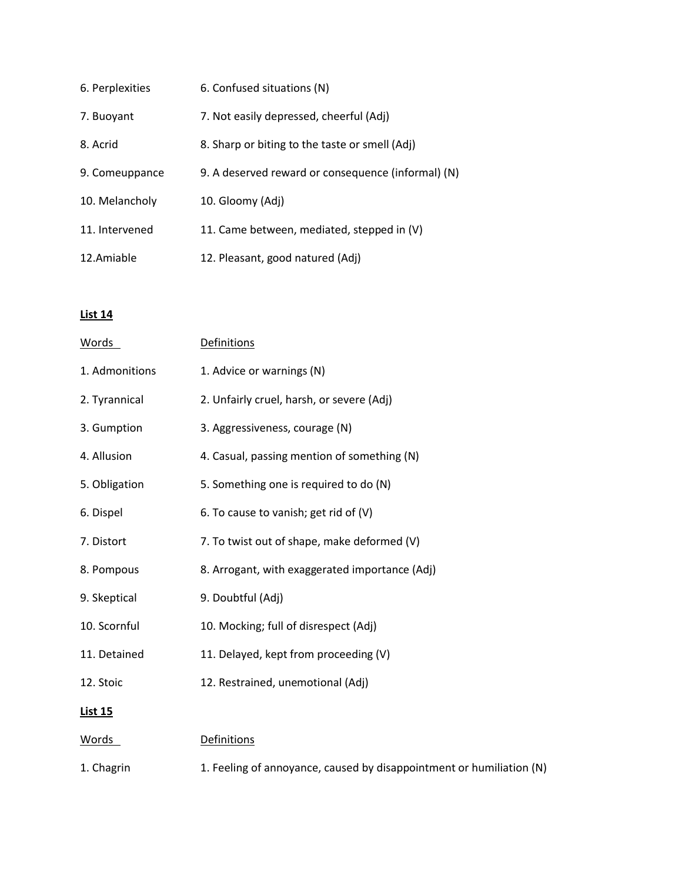| 6. Perplexities | 6. Confused situations (N)                         |
|-----------------|----------------------------------------------------|
| 7. Buoyant      | 7. Not easily depressed, cheerful (Adj)            |
| 8. Acrid        | 8. Sharp or biting to the taste or smell (Adj)     |
| 9. Comeuppance  | 9. A deserved reward or consequence (informal) (N) |
| 10. Melancholy  | 10. Gloomy (Adj)                                   |
| 11. Intervened  | 11. Came between, mediated, stepped in (V)         |
| 12.Amiable      | 12. Pleasant, good natured (Adj)                   |

| Words          | Definitions                                                          |
|----------------|----------------------------------------------------------------------|
| 1. Admonitions | 1. Advice or warnings (N)                                            |
| 2. Tyrannical  | 2. Unfairly cruel, harsh, or severe (Adj)                            |
| 3. Gumption    | 3. Aggressiveness, courage (N)                                       |
| 4. Allusion    | 4. Casual, passing mention of something (N)                          |
| 5. Obligation  | 5. Something one is required to do (N)                               |
| 6. Dispel      | 6. To cause to vanish; get rid of (V)                                |
| 7. Distort     | 7. To twist out of shape, make deformed (V)                          |
| 8. Pompous     | 8. Arrogant, with exaggerated importance (Adj)                       |
| 9. Skeptical   | 9. Doubtful (Adj)                                                    |
| 10. Scornful   | 10. Mocking; full of disrespect (Adj)                                |
| 11. Detained   | 11. Delayed, kept from proceeding (V)                                |
| 12. Stoic      | 12. Restrained, unemotional (Adj)                                    |
| <b>List 15</b> |                                                                      |
| <u>Words</u>   | <b>Definitions</b>                                                   |
| 1. Chagrin     | 1. Feeling of annoyance, caused by disappointment or humiliation (N) |